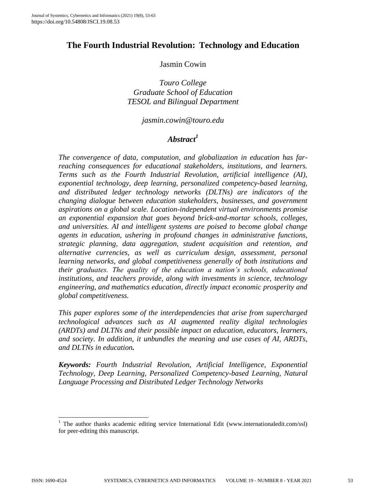# **The Fourth Industrial Revolution: Technology and Education**

### Jasmin Cowin

*Touro College Graduate School of Education TESOL and Bilingual Department*

#### *jasmin.cowin@touro.edu*

# *Abstract<sup>1</sup>*

*The convergence of data, computation, and globalization in education has farreaching consequences for educational stakeholders, institutions, and learners. Terms such as the Fourth Industrial Revolution, artificial intelligence (AI), exponential technology, deep learning, personalized competency-based learning, and distributed ledger technology networks (DLTNs) are indicators of the changing dialogue between education stakeholders, businesses, and government aspirations on a global scale. Location-independent virtual environments promise an exponential expansion that goes beyond brick-and-mortar schools, colleges, and universities. AI and intelligent systems are poised to become global change agents in education, ushering in profound changes in administrative functions, strategic planning, data aggregation, student acquisition and retention, and alternative currencies, as well as curriculum design, assessment, personal learning networks, and global competitiveness generally of both institutions and their graduates. The quality of the education a nation's schools, educational institutions, and teachers provide, along with investments in science, technology engineering, and mathematics education, directly impact economic prosperity and global competitiveness.*

*This paper explores some of the interdependencies that arise from supercharged technological advances such as AI augmented reality digital technologies (ARDTs) and DLTNs and their possible impact on education, educators, learners, and society. In addition, it unbundles the meaning and use cases of AI, ARDTs, and DLTNs in education.*

*Keywords: Fourth Industrial Revolution, Artificial Intelligence, Exponential Technology, Deep Learning, Personalized Competency-based Learning, Natural Language Processing and Distributed Ledger Technology Networks*

l

<sup>&</sup>lt;sup>1</sup> The author thanks academic editing service International Edit (www.internationaledit.com/ssl) for peer-editing this manuscript.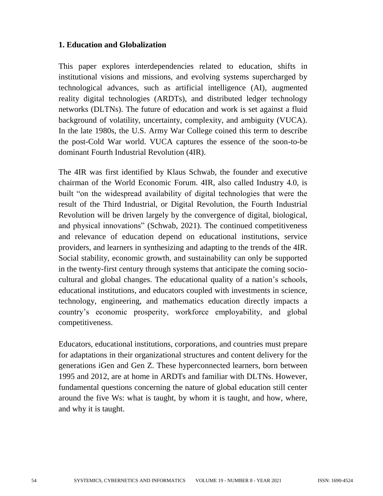### **1. Education and Globalization**

This paper explores interdependencies related to education, shifts in institutional visions and missions, and evolving systems supercharged by technological advances, such as artificial intelligence (AI), augmented reality digital technologies (ARDTs), and distributed ledger technology networks (DLTNs). The future of education and work is set against a fluid background of volatility, uncertainty, complexity, and ambiguity (VUCA). In the late 1980s, the U.S. Army War College coined this term to describe the post-Cold War world. VUCA captures the essence of the soon-to-be dominant Fourth Industrial Revolution (4IR).

The 4IR was first identified by Klaus Schwab, the founder and executive chairman of the World Economic Forum. 4IR, also called Industry 4.0, is built "on the widespread availability of digital technologies that were the result of the Third Industrial, or Digital Revolution, the Fourth Industrial Revolution will be driven largely by the convergence of digital, biological, and physical innovations" (Schwab, 2021). The continued competitiveness and relevance of education depend on educational institutions, service providers, and learners in synthesizing and adapting to the trends of the 4IR. Social stability, economic growth, and sustainability can only be supported in the twenty-first century through systems that anticipate the coming sociocultural and global changes. The educational quality of a nation's schools, educational institutions, and educators coupled with investments in science, technology, engineering, and mathematics education directly impacts a country's economic prosperity, workforce employability, and global competitiveness.

Educators, educational institutions, corporations, and countries must prepare for adaptations in their organizational structures and content delivery for the generations iGen and Gen Z. These hyperconnected learners, born between 1995 and 2012, are at home in ARDTs and familiar with DLTNs. However, fundamental questions concerning the nature of global education still center around the five Ws: what is taught, by whom it is taught, and how, where, and why it is taught.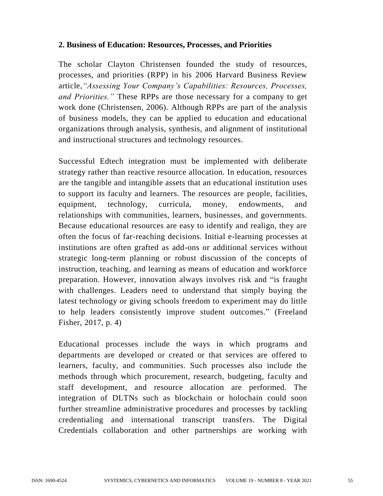# **2. Business of Education: Resources, Processes, and Priorities**

The scholar Clayton Christensen founded the study of resources, processes, and priorities (RPP) in his 2006 Harvard Business Review article,*"Assessing Your Company's Capabilities: Resources, Processes, and Priorities."* These RPPs are those necessary for a company to get work done (Christensen, 2006). Although RPPs are part of the analysis of business models, they can be applied to education and educational organizations through analysis, synthesis, and alignment of institutional and instructional structures and technology resources.

Successful Edtech integration must be implemented with deliberate strategy rather than reactive resource allocation. In education, resources are the tangible and intangible assets that an educational institution uses to support its faculty and learners. The resources are people, facilities, equipment, technology, curricula, money, endowments, and relationships with communities, learners, businesses, and governments. Because educational resources are easy to identify and realign, they are often the focus of far-reaching decisions. Initial e-learning processes at institutions are often grafted as add-ons or additional services without strategic long-term planning or robust discussion of the concepts of instruction, teaching, and learning as means of education and workforce preparation. However, innovation always involves risk and "is fraught with challenges. Leaders need to understand that simply buying the latest technology or giving schools freedom to experiment may do little to help leaders consistently improve student outcomes." (Freeland Fisher, 2017, p. 4)

Educational processes include the ways in which programs and departments are developed or created or that services are offered to learners, faculty, and communities. Such processes also include the methods through which procurement, research, budgeting, faculty and staff development, and resource allocation are performed. The integration of DLTNs such as blockchain or holochain could soon further streamline administrative procedures and processes by tackling credentialing and international transcript transfers. The Digital Credentials collaboration and other partnerships are working with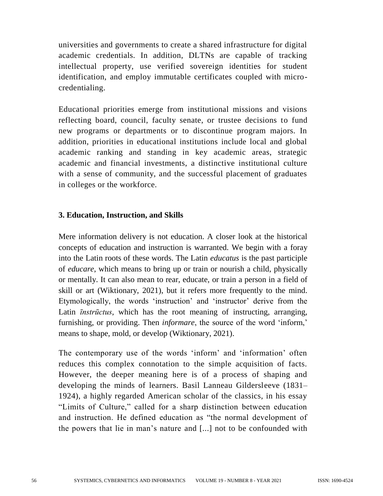universities and governments to create a shared infrastructure for digital academic credentials. In addition, DLTNs are capable of tracking intellectual property, use verified sovereign identities for student identification, and employ immutable certificates coupled with microcredentialing.

Educational priorities emerge from institutional missions and visions reflecting board, council, faculty senate, or trustee decisions to fund new programs or departments or to discontinue program majors. In addition, priorities in educational institutions include local and global academic ranking and standing in key academic areas, strategic academic and financial investments, a distinctive institutional culture with a sense of community, and the successful placement of graduates in colleges or the workforce.

#### **3. Education, Instruction, and Skills**

Mere information delivery is not education. A closer look at the historical concepts of education and instruction is warranted. We begin with a foray into the Latin roots of these words. The Latin *educatus* is the past participle of *educare*, which means to bring up or train or nourish a child, physically or mentally. It can also mean to rear, educate, or train a person in a field of skill or art (Wiktionary, 2021), but it refers more frequently to the mind. Etymologically, the words 'instruction' and 'instructor' derive from the Latin *īnstrūctus*, which has the root meaning of instructing, arranging, furnishing, or providing. Then *informare*, the source of the word 'inform,' means to shape, mold, or develop (Wiktionary, 2021).

The contemporary use of the words 'inform' and 'information' often reduces this complex connotation to the simple acquisition of facts. However, the deeper meaning here is of a process of shaping and developing the minds of learners. Basil Lanneau Gildersleeve (1831– 1924), a highly regarded American scholar of the classics, in his essay "Limits of Culture," called for a sharp distinction between education and instruction. He defined education as "the normal development of the powers that lie in man's nature and [...] not to be confounded with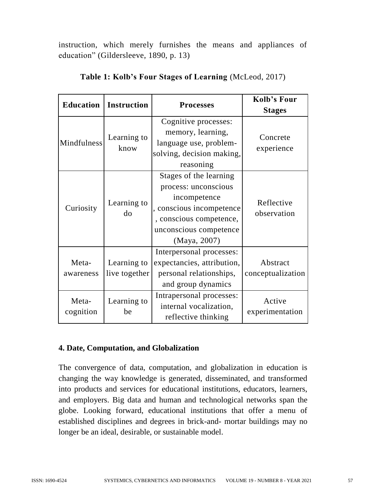instruction, which merely furnishes the means and appliances of education" (Gildersleeve, 1890, p. 13)

| <b>Education</b>   | <b>Instruction</b>           | <b>Processes</b>                                                                                                                                                | Kolb's Four<br><b>Stages</b>  |  |
|--------------------|------------------------------|-----------------------------------------------------------------------------------------------------------------------------------------------------------------|-------------------------------|--|
| Mindfulness        | Learning to<br>know          | Cognitive processes:<br>memory, learning,<br>language use, problem-<br>solving, decision making,<br>reasoning                                                   | Concrete<br>experience        |  |
| Curiosity          | Learning to<br>do            | Stages of the learning<br>process: unconscious<br>incompetence<br>, conscious incompetence<br>, conscious competence,<br>unconscious competence<br>(Maya, 2007) | Reflective<br>observation     |  |
| Meta-<br>awareness | Learning to<br>live together | Interpersonal processes:<br>expectancies, attribution,<br>personal relationships,<br>and group dynamics                                                         | Abstract<br>conceptualization |  |
| Meta-<br>cognition | Learning to<br>be            | Intrapersonal processes:<br>internal vocalization,<br>reflective thinking                                                                                       | Active<br>experimentation     |  |

| Table 1: Kolb's Four Stages of Learning (McLeod, 2017) |  |  |  |  |  |
|--------------------------------------------------------|--|--|--|--|--|
|--------------------------------------------------------|--|--|--|--|--|

### **4. Date, Computation, and Globalization**

The convergence of data, computation, and globalization in education is changing the way knowledge is generated, disseminated, and transformed into products and services for educational institutions, educators, learners, and employers. Big data and human and technological networks span the globe. Looking forward, educational institutions that offer a menu of established disciplines and degrees in brick-and- mortar buildings may no longer be an ideal, desirable, or sustainable model.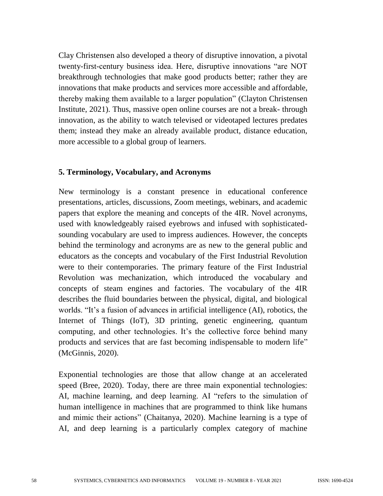Clay Christensen also developed a theory of disruptive innovation, a pivotal twenty-first-century business idea. Here, disruptive innovations "are NOT breakthrough technologies that make good products better; rather they are innovations that make products and services more accessible and affordable, thereby making them available to a larger population" (Clayton Christensen Institute, 2021). Thus, massive open online courses are not a break- through innovation, as the ability to watch televised or videotaped lectures predates them; instead they make an already available product, distance education, more accessible to a global group of learners.

#### **5. Terminology, Vocabulary, and Acronyms**

New terminology is a constant presence in educational conference presentations, articles, discussions, Zoom meetings, webinars, and academic papers that explore the meaning and concepts of the 4IR. Novel acronyms, used with knowledgeably raised eyebrows and infused with sophisticatedsounding vocabulary are used to impress audiences. However, the concepts behind the terminology and acronyms are as new to the general public and educators as the concepts and vocabulary of the First Industrial Revolution were to their contemporaries. The primary feature of the First Industrial Revolution was mechanization, which introduced the vocabulary and concepts of steam engines and factories. The vocabulary of the 4IR describes the fluid boundaries between the physical, digital, and biological worlds. "It's a fusion of advances in artificial intelligence (AI), robotics, the Internet of Things (IoT), 3D printing, genetic engineering, quantum computing, and other technologies. It's the collective force behind many products and services that are fast becoming indispensable to modern life" (McGinnis, 2020).

Exponential technologies are those that allow change at an accelerated speed (Bree, 2020). Today, there are three main exponential technologies: AI, machine learning, and deep learning. AI "refers to the simulation of human intelligence in machines that are programmed to think like humans and mimic their actions" (Chaitanya, 2020). Machine learning is a type of AI, and deep learning is a particularly complex category of machine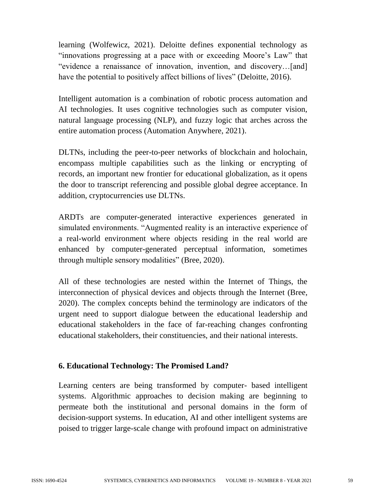learning (Wolfewicz, 2021). Deloitte defines exponential technology as "innovations progressing at a pace with or exceeding Moore's Law" that "evidence a renaissance of innovation, invention, and discovery…[and] have the potential to positively affect billions of lives" (Deloitte, 2016).

Intelligent automation is a combination of robotic process automation and AI technologies. It uses cognitive technologies such as computer vision, natural language processing (NLP), and fuzzy logic that arches across the entire automation process (Automation Anywhere, 2021).

DLTNs, including the peer-to-peer networks of blockchain and holochain, encompass multiple capabilities such as the linking or encrypting of records, an important new frontier for educational globalization, as it opens the door to transcript referencing and possible global degree acceptance. In addition, cryptocurrencies use DLTNs.

ARDTs are computer-generated interactive experiences generated in simulated environments. "Augmented reality is an interactive experience of a real-world environment where objects residing in the real world are enhanced by computer-generated perceptual information, sometimes through multiple sensory modalities" (Bree, 2020).

All of these technologies are nested within the Internet of Things, the interconnection of physical devices and objects through the Internet (Bree, 2020). The complex concepts behind the terminology are indicators of the urgent need to support dialogue between the educational leadership and educational stakeholders in the face of far-reaching changes confronting educational stakeholders, their constituencies, and their national interests.

### **6. Educational Technology: The Promised Land?**

Learning centers are being transformed by computer- based intelligent systems. Algorithmic approaches to decision making are beginning to permeate both the institutional and personal domains in the form of decision-support systems. In education, AI and other intelligent systems are poised to trigger large-scale change with profound impact on administrative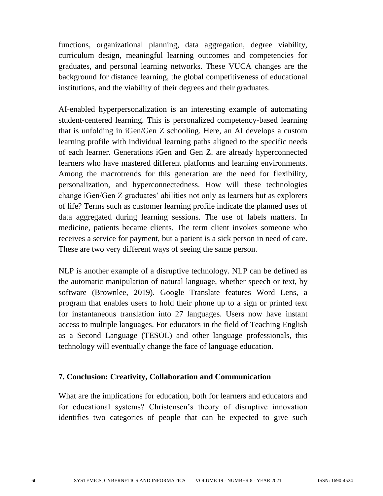functions, organizational planning, data aggregation, degree viability, curriculum design, meaningful learning outcomes and competencies for graduates, and personal learning networks. These VUCA changes are the background for distance learning, the global competitiveness of educational institutions, and the viability of their degrees and their graduates.

AI-enabled hyperpersonalization is an interesting example of automating student-centered learning. This is personalized competency-based learning that is unfolding in iGen/Gen Z schooling. Here, an AI develops a custom learning profile with individual learning paths aligned to the specific needs of each learner. Generations iGen and Gen Z. are already hyperconnected learners who have mastered different platforms and learning environments. Among the macrotrends for this generation are the need for flexibility, personalization, and hyperconnectedness. How will these technologies change iGen/Gen Z graduates' abilities not only as learners but as explorers of life? Terms such as customer learning profile indicate the planned uses of data aggregated during learning sessions. The use of labels matters. In medicine, patients became clients. The term client invokes someone who receives a service for payment, but a patient is a sick person in need of care. These are two very different ways of seeing the same person.

NLP is another example of a disruptive technology. NLP can be defined as the automatic manipulation of natural language, whether speech or text, by software (Brownlee, 2019). Google Translate features Word Lens, a program that enables users to hold their phone up to a sign or printed text for instantaneous translation into 27 languages. Users now have instant access to multiple languages. For educators in the field of Teaching English as a Second Language (TESOL) and other language professionals, this technology will eventually change the face of language education.

#### **7. Conclusion: Creativity, Collaboration and Communication**

What are the implications for education, both for learners and educators and for educational systems? Christensen's theory of disruptive innovation identifies two categories of people that can be expected to give such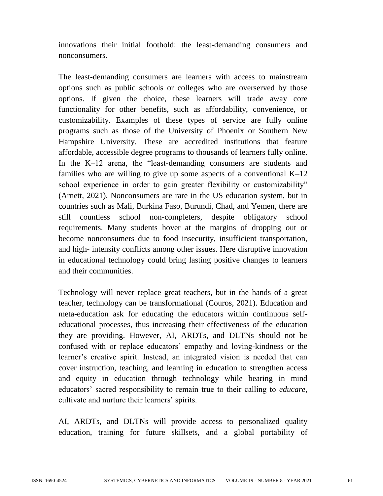innovations their initial foothold: the least-demanding consumers and nonconsumers.

The least-demanding consumers are learners with access to mainstream options such as public schools or colleges who are overserved by those options. If given the choice, these learners will trade away core functionality for other benefits, such as affordability, convenience, or customizability. Examples of these types of service are fully online programs such as those of the University of Phoenix or Southern New Hampshire University. These are accredited institutions that feature affordable, accessible degree programs to thousands of learners fully online. In the K–12 arena, the "least-demanding consumers are students and families who are willing to give up some aspects of a conventional  $K-12$ school experience in order to gain greater flexibility or customizability" (Arnett, 2021). Nonconsumers are rare in the US education system, but in countries such as Mali, Burkina Faso, Burundi, Chad, and Yemen, there are still countless school non-completers, despite obligatory school requirements. Many students hover at the margins of dropping out or become nonconsumers due to food insecurity, insufficient transportation, and high- intensity conflicts among other issues. Here disruptive innovation in educational technology could bring lasting positive changes to learners and their communities.

Technology will never replace great teachers, but in the hands of a great teacher, technology can be transformational (Couros, 2021). Education and meta-education ask for educating the educators within continuous selfeducational processes, thus increasing their effectiveness of the education they are providing. However, AI, ARDTs, and DLTNs should not be confused with or replace educators' empathy and loving-kindness or the learner's creative spirit. Instead, an integrated vision is needed that can cover instruction, teaching, and learning in education to strengthen access and equity in education through technology while bearing in mind educators' sacred responsibility to remain true to their calling to *educare*, cultivate and nurture their learners' spirits.

AI, ARDTs, and DLTNs will provide access to personalized quality education, training for future skillsets, and a global portability of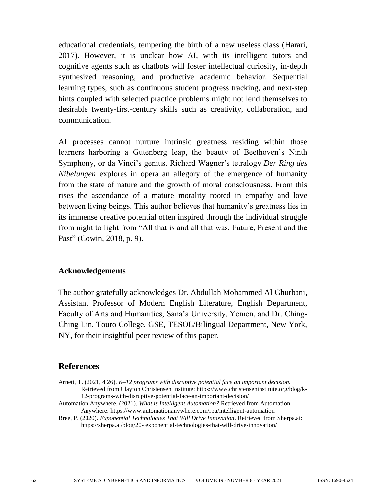educational credentials, tempering the birth of a new useless class (Harari, 2017). However, it is unclear how AI, with its intelligent tutors and cognitive agents such as chatbots will foster intellectual curiosity, in-depth synthesized reasoning, and productive academic behavior. Sequential learning types, such as continuous student progress tracking, and next-step hints coupled with selected practice problems might not lend themselves to desirable twenty-first-century skills such as creativity, collaboration, and communication.

AI processes cannot nurture intrinsic greatness residing within those learners harboring a Gutenberg leap, the beauty of Beethoven's Ninth Symphony, or da Vinci's genius. Richard Wagner's tetralogy *Der Ring des Nibelungen* explores in opera an allegory of the emergence of humanity from the state of nature and the growth of moral consciousness. From this rises the ascendance of a mature morality rooted in empathy and love between living beings. This author believes that humanity's greatness lies in its immense creative potential often inspired through the individual struggle from night to light from "All that is and all that was, Future, Present and the Past" (Cowin, 2018, p. 9).

#### **Acknowledgements**

The author gratefully acknowledges Dr. Abdullah Mohammed Al Ghurbani, Assistant Professor of Modern English Literature, English Department, Faculty of Arts and Humanities, Sana'a University, Yemen, and Dr. Ching-Ching Lin, Touro College, GSE, TESOL/Bilingual Department, New York, NY, for their insightful peer review of this paper.

#### **References**

Arnett, T. (2021, 4 26). *K–12 programs with disruptive potential face an important decision.* Retrieved from Clayton Christensen Institute: https://www.christenseninstitute.org/blog/k-12-programs-with-disruptive-potential-face-an-important-decision/

Automation Anywhere. (2021). *What is Intelligent Automation?* Retrieved from Automation Anywhere: https://www.automationanywhere.com/rpa/intelligent-automation

Bree, P. (2020). *Exponential Technologies That Will Drive Innovation*. Retrieved from Sherpa.ai: https://sherpa.ai/blog/20- exponential-technologies-that-will-drive-innovation/